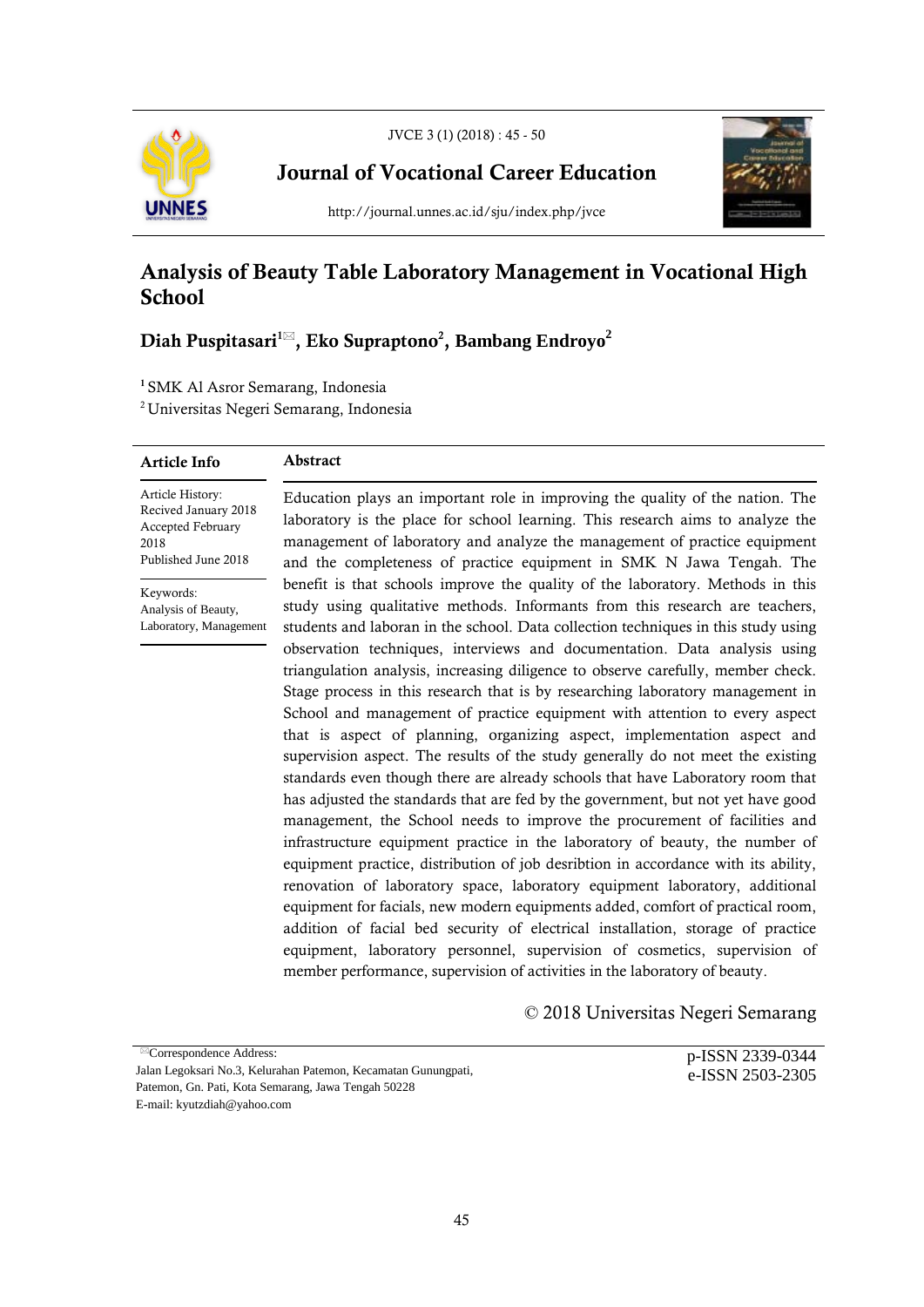

Journal of Vocational Career Education



http://journal.unnes.ac.id/sju/index.php/jvce

# Analysis of Beauty Table Laboratory Management in Vocational High **School**

## Diah Puspitasari1 , Eko Supraptono2 , **Bambang Endroyo2**

<sup>1</sup> SMK Al Asror Semarang, Indonesia

2 Universitas Negeri Semarang, Indonesia

#### Article Info

### Abstract

Article History: Recived January 2018 Accepted February 2018 Published June 2018

Keywords: Analysis of Beauty, Laboratory, Management Education plays an important role in improving the quality of the nation. The laboratory is the place for school learning. This research aims to analyze the management of laboratory and analyze the management of practice equipment and the completeness of practice equipment in SMK N Jawa Tengah. The benefit is that schools improve the quality of the laboratory. Methods in this study using qualitative methods. Informants from this research are teachers, students and laboran in the school. Data collection techniques in this study using observation techniques, interviews and documentation. Data analysis using triangulation analysis, increasing diligence to observe carefully, member check. Stage process in this research that is by researching laboratory management in School and management of practice equipment with attention to every aspect that is aspect of planning, organizing aspect, implementation aspect and supervision aspect. The results of the study generally do not meet the existing standards even though there are already schools that have Laboratory room that has adjusted the standards that are fed by the government, but not yet have good management, the School needs to improve the procurement of facilities and infrastructure equipment practice in the laboratory of beauty, the number of equipment practice, distribution of job desribtion in accordance with its ability, renovation of laboratory space, laboratory equipment laboratory, additional equipment for facials, new modern equipments added, comfort of practical room, addition of facial bed security of electrical installation, storage of practice equipment, laboratory personnel, supervision of cosmetics, supervision of member performance, supervision of activities in the laboratory of beauty.

## © 2018 Universitas Negeri Semarang

<sup>⊠</sup>Correspondence Address: Jalan Legoksari No.3, Kelurahan Patemon, Kecamatan Gunungpati, Patemon, Gn. Pati, Kota Semarang, Jawa Tengah 50228 E-mail: kyutzdiah@yahoo.com

p-ISSN 2339-0344 e-ISSN 2503-2305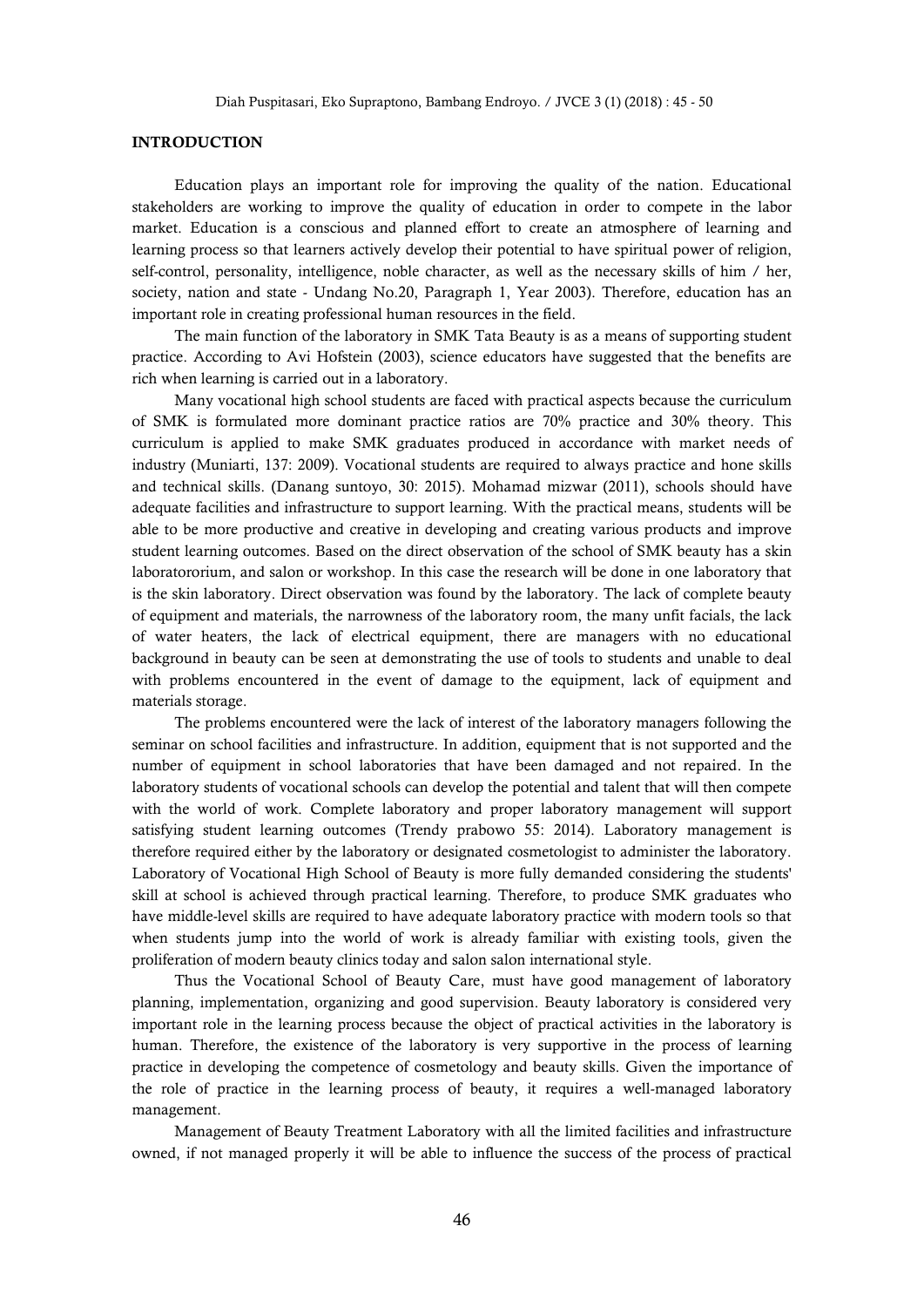### INTRODUCTION

Education plays an important role for improving the quality of the nation. Educational stakeholders are working to improve the quality of education in order to compete in the labor market. Education is a conscious and planned effort to create an atmosphere of learning and learning process so that learners actively develop their potential to have spiritual power of religion, self-control, personality, intelligence, noble character, as well as the necessary skills of him / her, society, nation and state - Undang No.20, Paragraph 1, Year 2003). Therefore, education has an important role in creating professional human resources in the field.

The main function of the laboratory in SMK Tata Beauty is as a means of supporting student practice. According to Avi Hofstein (2003), science educators have suggested that the benefits are rich when learning is carried out in a laboratory.

Many vocational high school students are faced with practical aspects because the curriculum of SMK is formulated more dominant practice ratios are 70% practice and 30% theory. This curriculum is applied to make SMK graduates produced in accordance with market needs of industry (Muniarti, 137: 2009). Vocational students are required to always practice and hone skills and technical skills. (Danang suntoyo, 30: 2015). Mohamad mizwar (2011), schools should have adequate facilities and infrastructure to support learning. With the practical means, students will be able to be more productive and creative in developing and creating various products and improve student learning outcomes. Based on the direct observation of the school of SMK beauty has a skin laboratororium, and salon or workshop. In this case the research will be done in one laboratory that is the skin laboratory. Direct observation was found by the laboratory. The lack of complete beauty of equipment and materials, the narrowness of the laboratory room, the many unfit facials, the lack of water heaters, the lack of electrical equipment, there are managers with no educational background in beauty can be seen at demonstrating the use of tools to students and unable to deal with problems encountered in the event of damage to the equipment, lack of equipment and materials storage.

The problems encountered were the lack of interest of the laboratory managers following the seminar on school facilities and infrastructure. In addition, equipment that is not supported and the number of equipment in school laboratories that have been damaged and not repaired. In the laboratory students of vocational schools can develop the potential and talent that will then compete with the world of work. Complete laboratory and proper laboratory management will support satisfying student learning outcomes (Trendy prabowo 55: 2014). Laboratory management is therefore required either by the laboratory or designated cosmetologist to administer the laboratory. Laboratory of Vocational High School of Beauty is more fully demanded considering the students' skill at school is achieved through practical learning. Therefore, to produce SMK graduates who have middle-level skills are required to have adequate laboratory practice with modern tools so that when students jump into the world of work is already familiar with existing tools, given the proliferation of modern beauty clinics today and salon salon international style.

Thus the Vocational School of Beauty Care, must have good management of laboratory planning, implementation, organizing and good supervision. Beauty laboratory is considered very important role in the learning process because the object of practical activities in the laboratory is human. Therefore, the existence of the laboratory is very supportive in the process of learning practice in developing the competence of cosmetology and beauty skills. Given the importance of the role of practice in the learning process of beauty, it requires a well-managed laboratory management.

Management of Beauty Treatment Laboratory with all the limited facilities and infrastructure owned, if not managed properly it will be able to influence the success of the process of practical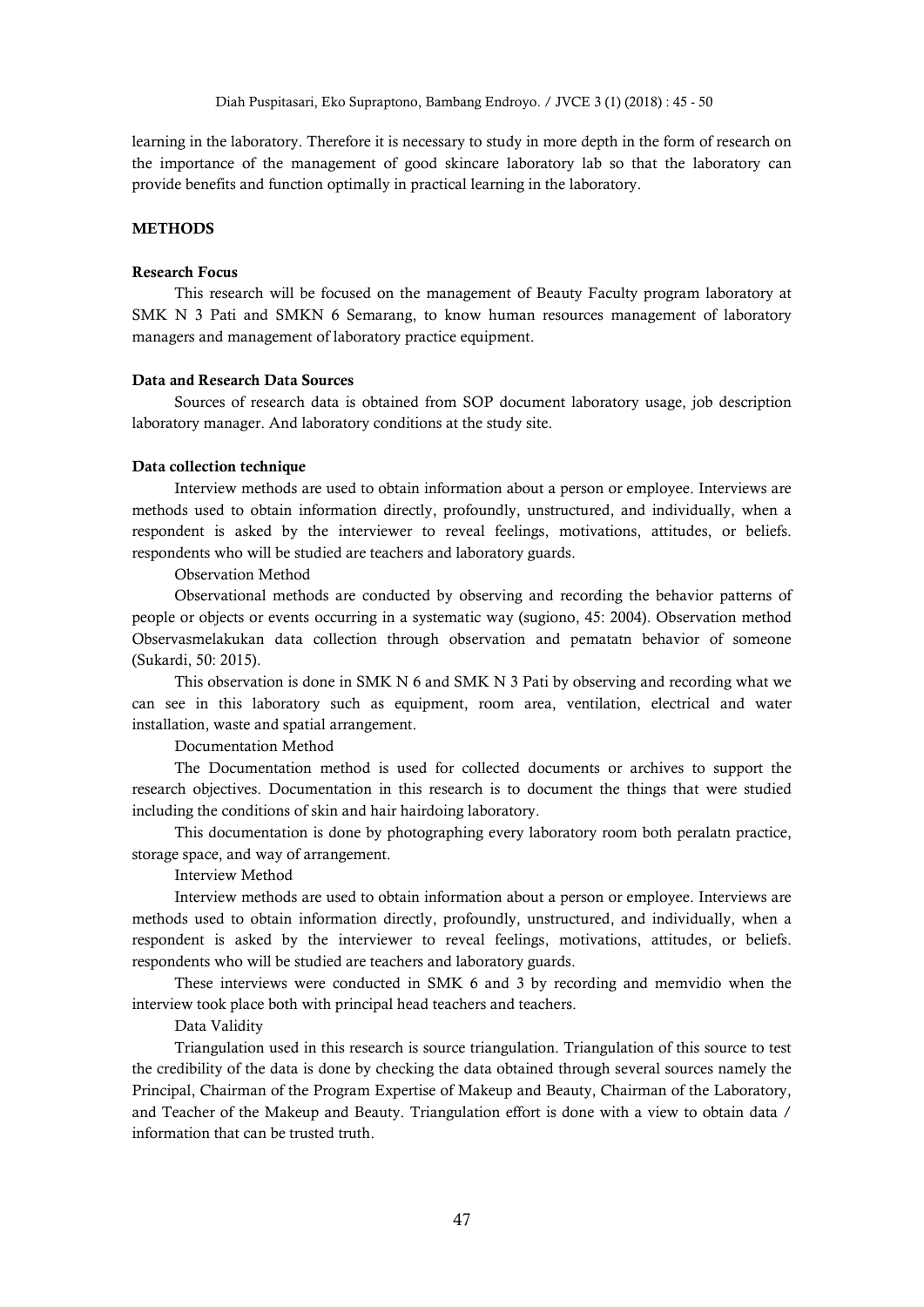learning in the laboratory. Therefore it is necessary to study in more depth in the form of research on the importance of the management of good skincare laboratory lab so that the laboratory can provide benefits and function optimally in practical learning in the laboratory.

## **METHODS**

#### Research Focus

This research will be focused on the management of Beauty Faculty program laboratory at SMK N 3 Pati and SMKN 6 Semarang, to know human resources management of laboratory managers and management of laboratory practice equipment.

#### Data and Research Data Sources

Sources of research data is obtained from SOP document laboratory usage, job description laboratory manager. And laboratory conditions at the study site.

#### Data collection technique

Interview methods are used to obtain information about a person or employee. Interviews are methods used to obtain information directly, profoundly, unstructured, and individually, when a respondent is asked by the interviewer to reveal feelings, motivations, attitudes, or beliefs. respondents who will be studied are teachers and laboratory guards.

Observation Method

Observational methods are conducted by observing and recording the behavior patterns of people or objects or events occurring in a systematic way (sugiono, 45: 2004). Observation method Observasmelakukan data collection through observation and pematatn behavior of someone (Sukardi, 50: 2015).

This observation is done in SMK N 6 and SMK N 3 Pati by observing and recording what we can see in this laboratory such as equipment, room area, ventilation, electrical and water installation, waste and spatial arrangement.

Documentation Method

The Documentation method is used for collected documents or archives to support the research objectives. Documentation in this research is to document the things that were studied including the conditions of skin and hair hairdoing laboratory.

This documentation is done by photographing every laboratory room both peralatn practice, storage space, and way of arrangement.

Interview Method

Interview methods are used to obtain information about a person or employee. Interviews are methods used to obtain information directly, profoundly, unstructured, and individually, when a respondent is asked by the interviewer to reveal feelings, motivations, attitudes, or beliefs. respondents who will be studied are teachers and laboratory guards.

These interviews were conducted in SMK 6 and 3 by recording and memvidio when the interview took place both with principal head teachers and teachers.

Data Validity

Triangulation used in this research is source triangulation. Triangulation of this source to test the credibility of the data is done by checking the data obtained through several sources namely the Principal, Chairman of the Program Expertise of Makeup and Beauty, Chairman of the Laboratory, and Teacher of the Makeup and Beauty. Triangulation effort is done with a view to obtain data / information that can be trusted truth.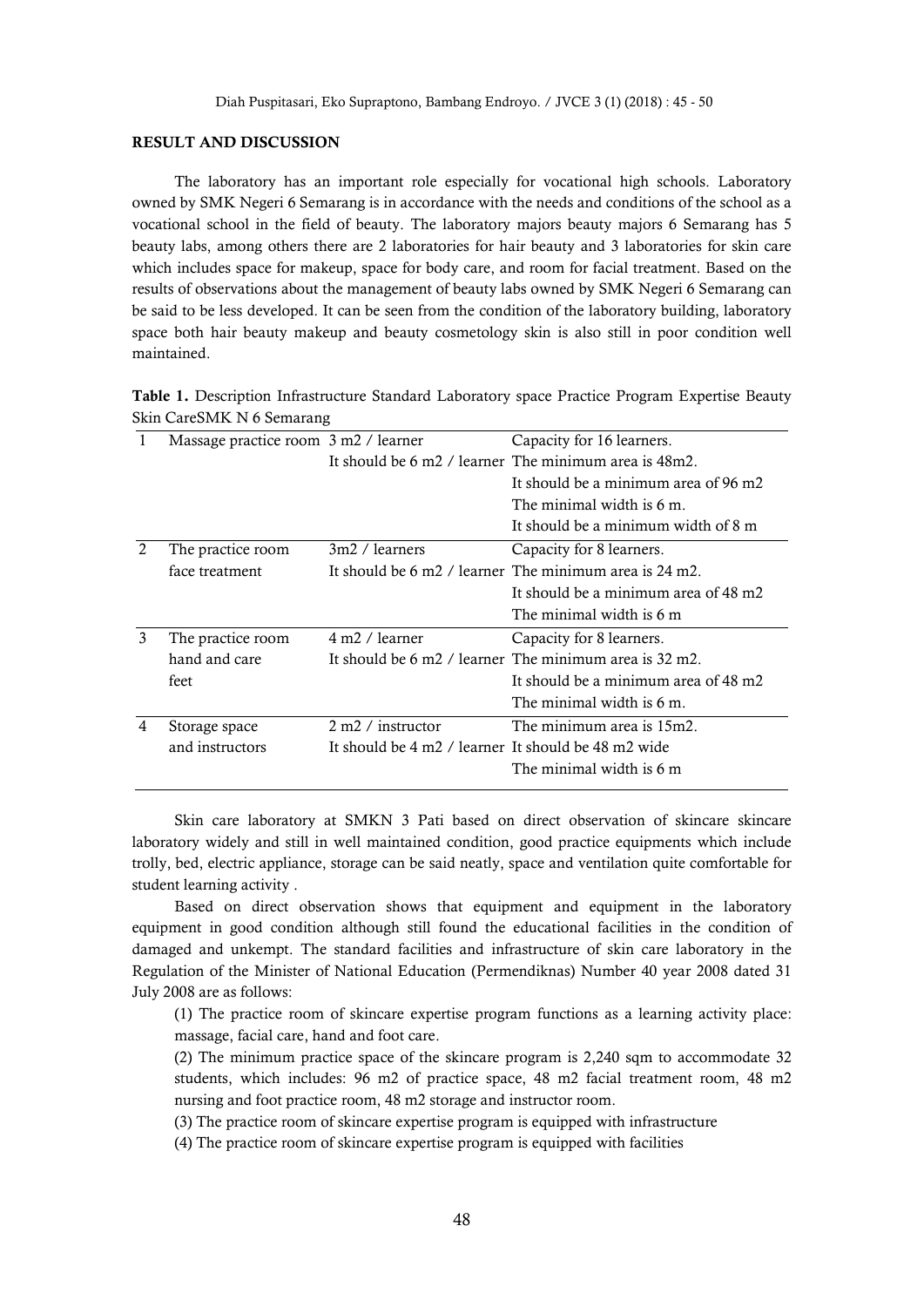#### RESULT AND DISCUSSION

The laboratory has an important role especially for vocational high schools. Laboratory owned by SMK Negeri 6 Semarang is in accordance with the needs and conditions of the school as a vocational school in the field of beauty. The laboratory majors beauty majors 6 Semarang has 5 beauty labs, among others there are 2 laboratories for hair beauty and 3 laboratories for skin care which includes space for makeup, space for body care, and room for facial treatment. Based on the results of observations about the management of beauty labs owned by SMK Negeri 6 Semarang can be said to be less developed. It can be seen from the condition of the laboratory building, laboratory space both hair beauty makeup and beauty cosmetology skin is also still in poor condition well maintained.

| Table 1. Description Infrastructure Standard Laboratory space Practice Program Expertise Beauty |  |  |  |  |
|-------------------------------------------------------------------------------------------------|--|--|--|--|
| Skin CareSMK N 6 Semarang                                                                       |  |  |  |  |

|   | Massage practice room 3 m2 / learner |                                                     | Capacity for 16 learners.                                                           |  |  |
|---|--------------------------------------|-----------------------------------------------------|-------------------------------------------------------------------------------------|--|--|
|   |                                      |                                                     | It should be 6 m2 / learner. The minimum area is 48m2.                              |  |  |
|   |                                      |                                                     | It should be a minimum area of 96 m2                                                |  |  |
|   |                                      |                                                     | The minimal width is $6 \text{ m}$ .                                                |  |  |
|   |                                      |                                                     | It should be a minimum width of 8 m                                                 |  |  |
|   | The practice room                    | 3m2 / learners                                      | Capacity for 8 learners.                                                            |  |  |
|   | face treatment                       |                                                     | It should be 6 m2 / learner. The minimum area is 24 m2.                             |  |  |
|   |                                      |                                                     | It should be a minimum area of 48 m2                                                |  |  |
|   |                                      |                                                     | The minimal width is 6 m                                                            |  |  |
| 3 | The practice room                    | 4 m2 / learner                                      | Capacity for 8 learners.                                                            |  |  |
|   | hand and care                        |                                                     | It should be $6 \text{ m}$ / learner. The minimum area is $32 \text{ m}$ $\Omega$ . |  |  |
|   | feet                                 |                                                     | It should be a minimum area of 48 m2                                                |  |  |
|   |                                      |                                                     | The minimal width is 6 m.                                                           |  |  |
| 4 | Storage space                        | $2 m2 /$ instructor                                 | The minimum area is 15m2.                                                           |  |  |
|   | and instructors                      | It should be 4 m2 / learner It should be 48 m2 wide |                                                                                     |  |  |
|   |                                      |                                                     | The minimal width is 6 m                                                            |  |  |
|   |                                      |                                                     |                                                                                     |  |  |

Skin care laboratory at SMKN 3 Pati based on direct observation of skincare skincare laboratory widely and still in well maintained condition, good practice equipments which include trolly, bed, electric appliance, storage can be said neatly, space and ventilation quite comfortable for student learning activity .

Based on direct observation shows that equipment and equipment in the laboratory equipment in good condition although still found the educational facilities in the condition of damaged and unkempt. The standard facilities and infrastructure of skin care laboratory in the Regulation of the Minister of National Education (Permendiknas) Number 40 year 2008 dated 31 July 2008 are as follows:

(1) The practice room of skincare expertise program functions as a learning activity place: massage, facial care, hand and foot care.

(2) The minimum practice space of the skincare program is 2,240 sqm to accommodate 32 students, which includes: 96 m2 of practice space, 48 m2 facial treatment room, 48 m2 nursing and foot practice room, 48 m2 storage and instructor room.

(3) The practice room of skincare expertise program is equipped with infrastructure

(4) The practice room of skincare expertise program is equipped with facilities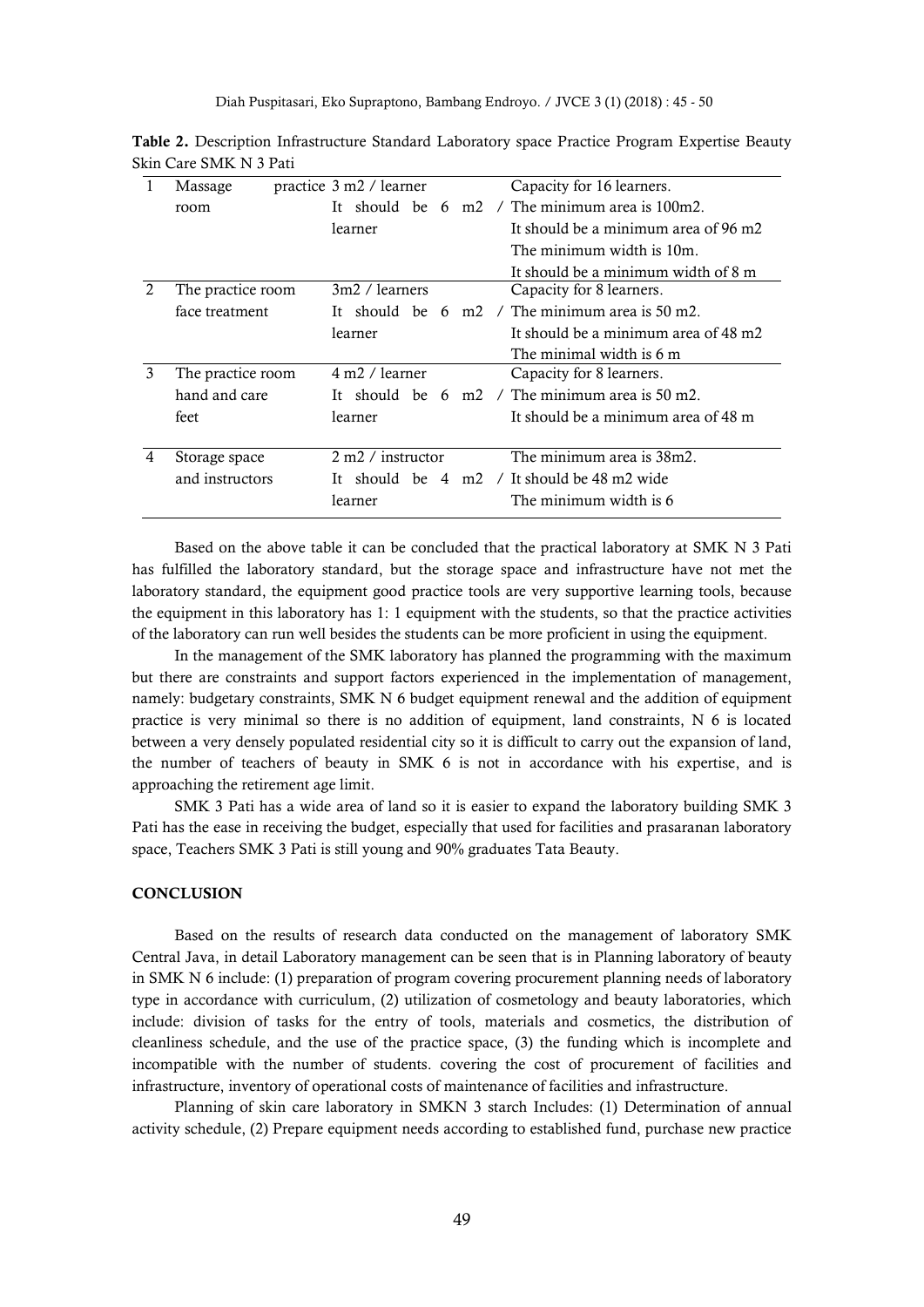Diah Puspitasari, Eko Supraptono, Bambang Endroyo. / JVCE 3 (1) (2018) : 45 - 50

|               | Massage           | practice 3 m2 / learner    | Capacity for 16 learners.                                           |
|---------------|-------------------|----------------------------|---------------------------------------------------------------------|
|               | room              | It -                       | should be 6 m2 / The minimum area is $100m2$ .                      |
|               |                   | learner                    | It should be a minimum area of 96 m2                                |
|               |                   |                            | The minimum width is 10m.                                           |
|               |                   |                            | It should be a minimum width of 8 m                                 |
| $\mathcal{L}$ | The practice room | 3m2 / learners             | Capacity for 8 learners.                                            |
|               | face treatment    |                            | It should be $6 \text{ m2}$ / The minimum area is $50 \text{ m2}$ . |
|               |                   | learner                    | It should be a minimum area of 48 m2                                |
|               |                   |                            | The minimal width is 6 m                                            |
| 3             | The practice room | 4 m <sub>2</sub> / learner | Capacity for 8 learners.                                            |
|               | hand and care     |                            | It should be $6 \text{ m2}$ / The minimum area is $50 \text{ m2}$ . |
|               | feet              | learner                    | It should be a minimum area of 48 m                                 |
|               |                   |                            |                                                                     |
| 4             | Storage space     | $2 m2 /$ instructor        | The minimum area is 38m2.                                           |
|               | and instructors   |                            | should be $4 \, \text{m2}$ / It should be $48 \, \text{m2}$ wide    |
|               |                   | learner                    | The minimum width is 6                                              |
|               |                   |                            |                                                                     |

Table 2. Description Infrastructure Standard Laboratory space Practice Program Expertise Beauty Skin Care SMK N 3 Pati

Based on the above table it can be concluded that the practical laboratory at SMK N 3 Pati has fulfilled the laboratory standard, but the storage space and infrastructure have not met the laboratory standard, the equipment good practice tools are very supportive learning tools, because the equipment in this laboratory has 1: 1 equipment with the students, so that the practice activities of the laboratory can run well besides the students can be more proficient in using the equipment.

In the management of the SMK laboratory has planned the programming with the maximum but there are constraints and support factors experienced in the implementation of management, namely: budgetary constraints, SMK N 6 budget equipment renewal and the addition of equipment practice is very minimal so there is no addition of equipment, land constraints, N 6 is located between a very densely populated residential city so it is difficult to carry out the expansion of land, the number of teachers of beauty in SMK 6 is not in accordance with his expertise, and is approaching the retirement age limit.

SMK 3 Pati has a wide area of land so it is easier to expand the laboratory building SMK 3 Pati has the ease in receiving the budget, especially that used for facilities and prasaranan laboratory space, Teachers SMK 3 Pati is still young and 90% graduates Tata Beauty.

#### **CONCLUSION**

Based on the results of research data conducted on the management of laboratory SMK Central Java, in detail Laboratory management can be seen that is in Planning laboratory of beauty in SMK N 6 include: (1) preparation of program covering procurement planning needs of laboratory type in accordance with curriculum, (2) utilization of cosmetology and beauty laboratories, which include: division of tasks for the entry of tools, materials and cosmetics, the distribution of cleanliness schedule, and the use of the practice space, (3) the funding which is incomplete and incompatible with the number of students. covering the cost of procurement of facilities and infrastructure, inventory of operational costs of maintenance of facilities and infrastructure.

Planning of skin care laboratory in SMKN 3 starch Includes: (1) Determination of annual activity schedule, (2) Prepare equipment needs according to established fund, purchase new practice